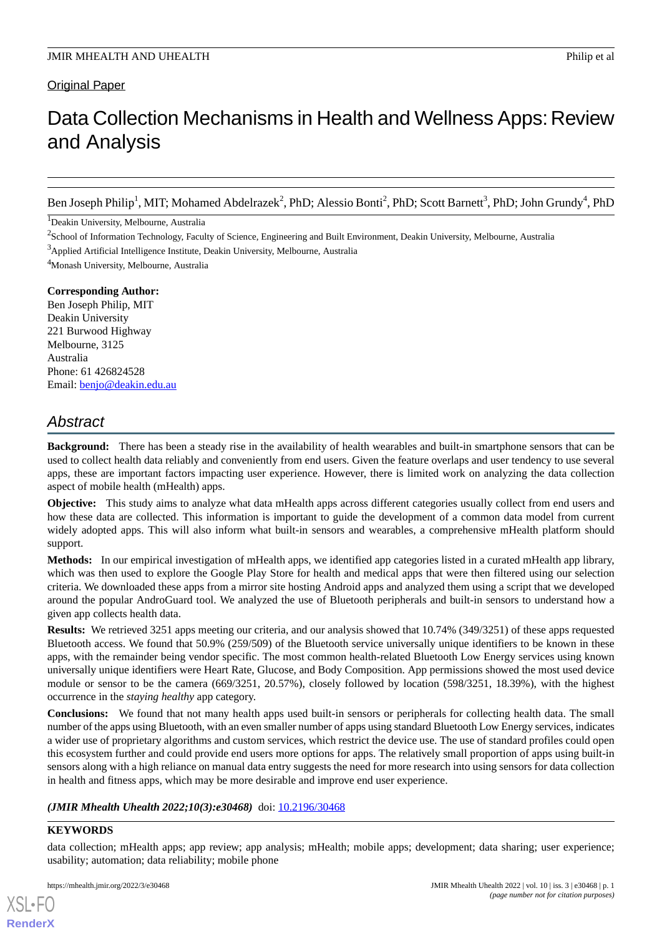# Data Collection Mechanisms in Health and Wellness Apps: Review and Analysis

Ben Joseph Philip<sup>1</sup>, MIT; Mohamed Abdelrazek<sup>2</sup>, PhD; Alessio Bonti<sup>2</sup>, PhD; Scott Barnett<sup>3</sup>, PhD; John Grundy<sup>4</sup>, PhD

<sup>1</sup>Deakin University, Melbourne, Australia

 $2$ School of Information Technology, Faculty of Science, Engineering and Built Environment, Deakin University, Melbourne, Australia <sup>3</sup>Applied Artificial Intelligence Institute, Deakin University, Melbourne, Australia

<sup>4</sup>Monash University, Melbourne, Australia

**Corresponding Author:** Ben Joseph Philip, MIT Deakin University 221 Burwood Highway Melbourne, 3125 Australia Phone: 61 426824528 Email: [benjo@deakin.edu.au](mailto:benjo@deakin.edu.au)

# *Abstract*

**Background:** There has been a steady rise in the availability of health wearables and built-in smartphone sensors that can be used to collect health data reliably and conveniently from end users. Given the feature overlaps and user tendency to use several apps, these are important factors impacting user experience. However, there is limited work on analyzing the data collection aspect of mobile health (mHealth) apps.

**Objective:** This study aims to analyze what data mHealth apps across different categories usually collect from end users and how these data are collected. This information is important to guide the development of a common data model from current widely adopted apps. This will also inform what built-in sensors and wearables, a comprehensive mHealth platform should support.

**Methods:** In our empirical investigation of mHealth apps, we identified app categories listed in a curated mHealth app library, which was then used to explore the Google Play Store for health and medical apps that were then filtered using our selection criteria. We downloaded these apps from a mirror site hosting Android apps and analyzed them using a script that we developed around the popular AndroGuard tool. We analyzed the use of Bluetooth peripherals and built-in sensors to understand how a given app collects health data.

**Results:** We retrieved 3251 apps meeting our criteria, and our analysis showed that 10.74% (349/3251) of these apps requested Bluetooth access. We found that 50.9% (259/509) of the Bluetooth service universally unique identifiers to be known in these apps, with the remainder being vendor specific. The most common health-related Bluetooth Low Energy services using known universally unique identifiers were Heart Rate, Glucose, and Body Composition. App permissions showed the most used device module or sensor to be the camera (669/3251, 20.57%), closely followed by location (598/3251, 18.39%), with the highest occurrence in the *staying healthy* app category.

**Conclusions:** We found that not many health apps used built-in sensors or peripherals for collecting health data. The small number of the apps using Bluetooth, with an even smaller number of apps using standard Bluetooth Low Energy services, indicates a wider use of proprietary algorithms and custom services, which restrict the device use. The use of standard profiles could open this ecosystem further and could provide end users more options for apps. The relatively small proportion of apps using built-in sensors along with a high reliance on manual data entry suggests the need for more research into using sensors for data collection in health and fitness apps, which may be more desirable and improve end user experience.

# *(JMIR Mhealth Uhealth 2022;10(3):e30468)* doi: [10.2196/30468](http://dx.doi.org/10.2196/30468)

# **KEYWORDS**

[XSL](http://www.w3.org/Style/XSL)•FO **[RenderX](http://www.renderx.com/)**

data collection; mHealth apps; app review; app analysis; mHealth; mobile apps; development; data sharing; user experience; usability; automation; data reliability; mobile phone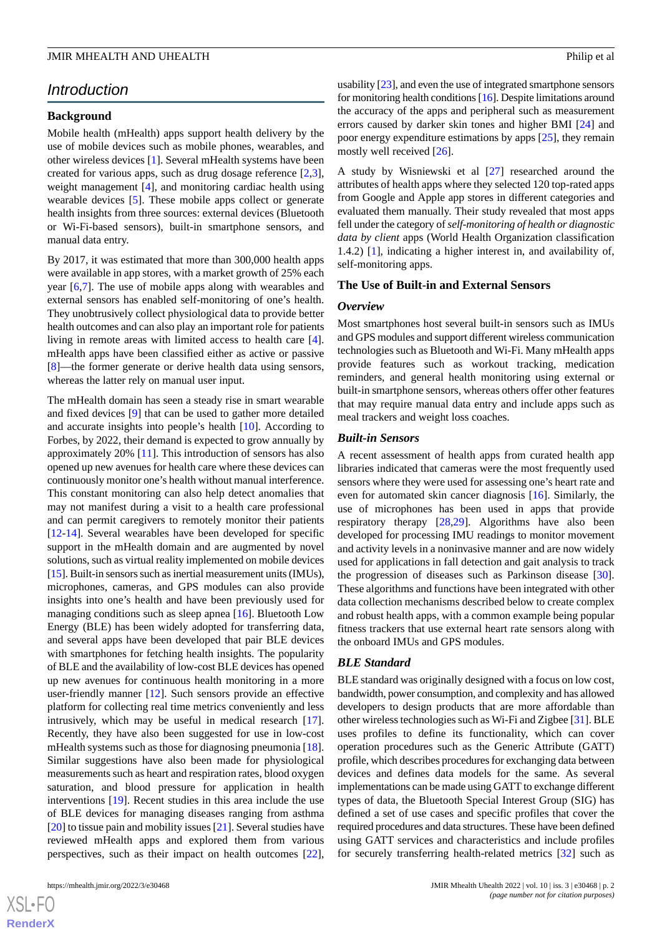# *Introduction*

# **Background**

Mobile health (mHealth) apps support health delivery by the use of mobile devices such as mobile phones, wearables, and other wireless devices [[1\]](#page-9-0). Several mHealth systems have been created for various apps, such as drug dosage reference [\[2](#page-9-1),[3\]](#page-9-2), weight management [[4\]](#page-9-3), and monitoring cardiac health using wearable devices [\[5](#page-9-4)]. These mobile apps collect or generate health insights from three sources: external devices (Bluetooth or Wi-Fi-based sensors), built-in smartphone sensors, and manual data entry.

By 2017, it was estimated that more than 300,000 health apps were available in app stores, with a market growth of 25% each year [\[6](#page-9-5),[7\]](#page-9-6). The use of mobile apps along with wearables and external sensors has enabled self-monitoring of one's health. They unobtrusively collect physiological data to provide better health outcomes and can also play an important role for patients living in remote areas with limited access to health care [[4\]](#page-9-3). mHealth apps have been classified either as active or passive [[8\]](#page-9-7)—the former generate or derive health data using sensors, whereas the latter rely on manual user input.

The mHealth domain has seen a steady rise in smart wearable and fixed devices [[9\]](#page-9-8) that can be used to gather more detailed and accurate insights into people's health [[10\]](#page-10-0). According to Forbes, by 2022, their demand is expected to grow annually by approximately 20% [[11\]](#page-10-1). This introduction of sensors has also opened up new avenues for health care where these devices can continuously monitor one's health without manual interference. This constant monitoring can also help detect anomalies that may not manifest during a visit to a health care professional and can permit caregivers to remotely monitor their patients [[12](#page-10-2)[-14](#page-10-3)]. Several wearables have been developed for specific support in the mHealth domain and are augmented by novel solutions, such as virtual reality implemented on mobile devices [[15\]](#page-10-4). Built-in sensors such as inertial measurement units (IMUs), microphones, cameras, and GPS modules can also provide insights into one's health and have been previously used for managing conditions such as sleep apnea [\[16](#page-10-5)]. Bluetooth Low Energy (BLE) has been widely adopted for transferring data, and several apps have been developed that pair BLE devices with smartphones for fetching health insights. The popularity of BLE and the availability of low-cost BLE devices has opened up new avenues for continuous health monitoring in a more user-friendly manner [\[12](#page-10-2)]. Such sensors provide an effective platform for collecting real time metrics conveniently and less intrusively, which may be useful in medical research [[17\]](#page-10-6). Recently, they have also been suggested for use in low-cost mHealth systems such as those for diagnosing pneumonia [[18\]](#page-10-7). Similar suggestions have also been made for physiological measurements such as heart and respiration rates, blood oxygen saturation, and blood pressure for application in health interventions [\[19](#page-10-8)]. Recent studies in this area include the use of BLE devices for managing diseases ranging from asthma [[20\]](#page-10-9) to tissue pain and mobility issues [[21\]](#page-10-10). Several studies have reviewed mHealth apps and explored them from various perspectives, such as their impact on health outcomes [[22\]](#page-10-11),

usability [\[23](#page-10-12)], and even the use of integrated smartphone sensors for monitoring health conditions [\[16](#page-10-5)]. Despite limitations around the accuracy of the apps and peripheral such as measurement errors caused by darker skin tones and higher BMI [\[24](#page-10-13)] and poor energy expenditure estimations by apps [\[25](#page-10-14)], they remain mostly well received [\[26](#page-10-15)].

A study by Wisniewski et al [\[27](#page-10-16)] researched around the attributes of health apps where they selected 120 top-rated apps from Google and Apple app stores in different categories and evaluated them manually. Their study revealed that most apps fell under the category of *self-monitoring of health or diagnostic data by client* apps (World Health Organization classification 1.4.2) [[1\]](#page-9-0), indicating a higher interest in, and availability of, self-monitoring apps.

### **The Use of Built-in and External Sensors**

#### *Overview*

Most smartphones host several built-in sensors such as IMUs and GPS modules and support different wireless communication technologies such as Bluetooth and Wi-Fi. Many mHealth apps provide features such as workout tracking, medication reminders, and general health monitoring using external or built-in smartphone sensors, whereas others offer other features that may require manual data entry and include apps such as meal trackers and weight loss coaches.

#### *Built-in Sensors*

A recent assessment of health apps from curated health app libraries indicated that cameras were the most frequently used sensors where they were used for assessing one's heart rate and even for automated skin cancer diagnosis [\[16](#page-10-5)]. Similarly, the use of microphones has been used in apps that provide respiratory therapy [\[28](#page-10-17),[29\]](#page-10-18). Algorithms have also been developed for processing IMU readings to monitor movement and activity levels in a noninvasive manner and are now widely used for applications in fall detection and gait analysis to track the progression of diseases such as Parkinson disease [[30\]](#page-10-19). These algorithms and functions have been integrated with other data collection mechanisms described below to create complex and robust health apps, with a common example being popular fitness trackers that use external heart rate sensors along with the onboard IMUs and GPS modules.

# *BLE Standard*

BLE standard was originally designed with a focus on low cost, bandwidth, power consumption, and complexity and has allowed developers to design products that are more affordable than other wireless technologies such as Wi-Fi and Zigbee [\[31](#page-11-0)]. BLE uses profiles to define its functionality, which can cover operation procedures such as the Generic Attribute (GATT) profile, which describes procedures for exchanging data between devices and defines data models for the same. As several implementations can be made using GATT to exchange different types of data, the Bluetooth Special Interest Group (SIG) has defined a set of use cases and specific profiles that cover the required procedures and data structures. These have been defined using GATT services and characteristics and include profiles for securely transferring health-related metrics [\[32](#page-11-1)] such as

```
XS-FO
RenderX
```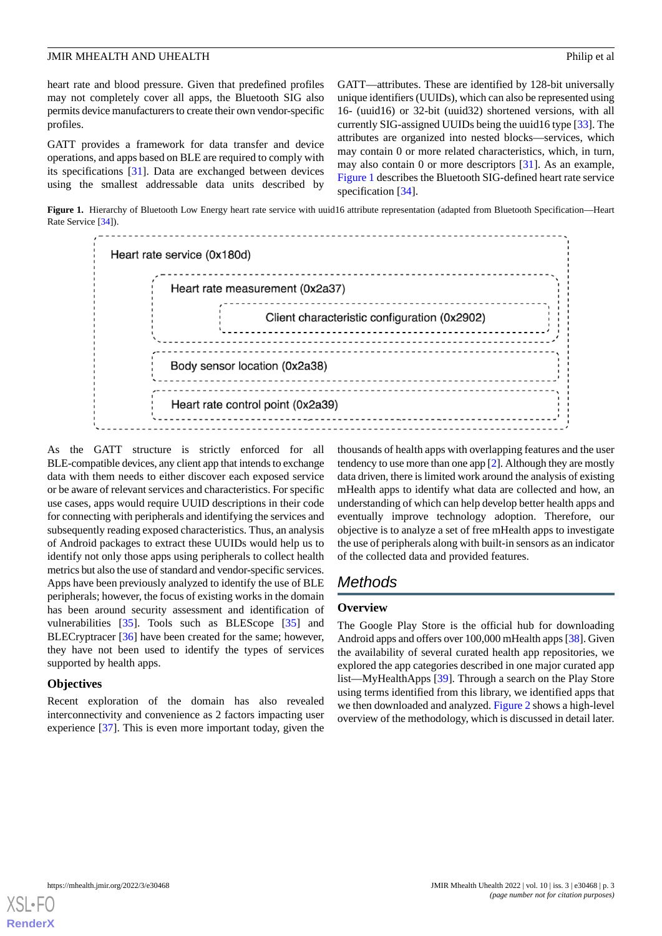heart rate and blood pressure. Given that predefined profiles may not completely cover all apps, the Bluetooth SIG also permits device manufacturers to create their own vendor-specific profiles.

GATT provides a framework for data transfer and device operations, and apps based on BLE are required to comply with its specifications [\[31](#page-11-0)]. Data are exchanged between devices using the smallest addressable data units described by

GATT—attributes. These are identified by 128-bit universally unique identifiers (UUIDs), which can also be represented using 16- (uuid16) or 32-bit (uuid32) shortened versions, with all currently SIG-assigned UUIDs being the uuid16 type [\[33](#page-11-2)]. The attributes are organized into nested blocks—services, which may contain 0 or more related characteristics, which, in turn, may also contain 0 or more descriptors [\[31](#page-11-0)]. As an example, [Figure 1](#page-2-0) describes the Bluetooth SIG-defined heart rate service specification [\[34](#page-11-3)].

<span id="page-2-0"></span>Figure 1. Hierarchy of Bluetooth Low Energy heart rate service with uuid16 attribute representation (adapted from Bluetooth Specification—Heart Rate Service [[34](#page-11-3)]).



As the GATT structure is strictly enforced for all BLE-compatible devices, any client app that intends to exchange data with them needs to either discover each exposed service or be aware of relevant services and characteristics. For specific use cases, apps would require UUID descriptions in their code for connecting with peripherals and identifying the services and subsequently reading exposed characteristics. Thus, an analysis of Android packages to extract these UUIDs would help us to identify not only those apps using peripherals to collect health metrics but also the use of standard and vendor-specific services. Apps have been previously analyzed to identify the use of BLE peripherals; however, the focus of existing works in the domain has been around security assessment and identification of vulnerabilities [\[35](#page-11-4)]. Tools such as BLEScope [[35\]](#page-11-4) and BLECryptracer [\[36](#page-11-5)] have been created for the same; however, they have not been used to identify the types of services supported by health apps.

### **Objectives**

Recent exploration of the domain has also revealed interconnectivity and convenience as 2 factors impacting user experience [[37\]](#page-11-6). This is even more important today, given the

thousands of health apps with overlapping features and the user tendency to use more than one app [[2\]](#page-9-1). Although they are mostly data driven, there is limited work around the analysis of existing mHealth apps to identify what data are collected and how, an understanding of which can help develop better health apps and eventually improve technology adoption. Therefore, our objective is to analyze a set of free mHealth apps to investigate the use of peripherals along with built-in sensors as an indicator of the collected data and provided features.

# *Methods*

# **Overview**

The Google Play Store is the official hub for downloading Android apps and offers over 100,000 mHealth apps [[38](#page-11-7)]. Given the availability of several curated health app repositories, we explored the app categories described in one major curated app list—MyHealthApps [\[39](#page-11-8)]. Through a search on the Play Store using terms identified from this library, we identified apps that we then downloaded and analyzed. [Figure 2](#page-3-0) shows a high-level overview of the methodology, which is discussed in detail later.

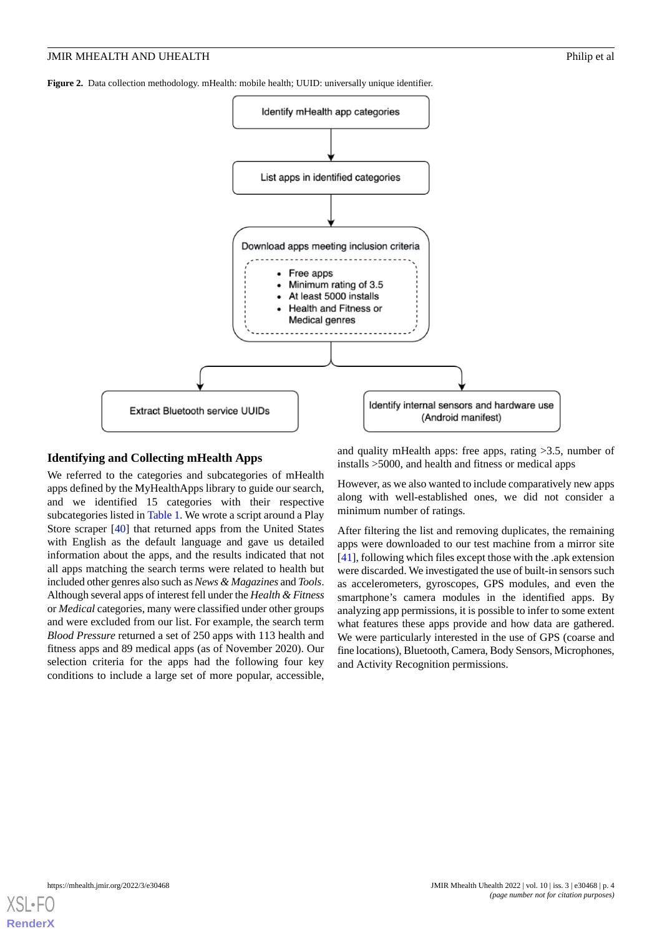<span id="page-3-0"></span>**Figure 2.** Data collection methodology. mHealth: mobile health; UUID: universally unique identifier.



### **Identifying and Collecting mHealth Apps**

We referred to the categories and subcategories of mHealth apps defined by the MyHealthApps library to guide our search, and we identified 15 categories with their respective subcategories listed in [Table 1.](#page-4-0) We wrote a script around a Play Store scraper [\[40](#page-11-9)] that returned apps from the United States with English as the default language and gave us detailed information about the apps, and the results indicated that not all apps matching the search terms were related to health but included other genres also such as *News & Magazines* and *Tools*. Although several apps of interest fell under the *Health & Fitness* or *Medical* categories, many were classified under other groups and were excluded from our list. For example, the search term *Blood Pressure* returned a set of 250 apps with 113 health and fitness apps and 89 medical apps (as of November 2020). Our selection criteria for the apps had the following four key conditions to include a large set of more popular, accessible,

and quality mHealth apps: free apps, rating >3.5, number of installs >5000, and health and fitness or medical apps

However, as we also wanted to include comparatively new apps along with well-established ones, we did not consider a minimum number of ratings.

After filtering the list and removing duplicates, the remaining apps were downloaded to our test machine from a mirror site [[41\]](#page-11-10), following which files except those with the .apk extension were discarded. We investigated the use of built-in sensors such as accelerometers, gyroscopes, GPS modules, and even the smartphone's camera modules in the identified apps. By analyzing app permissions, it is possible to infer to some extent what features these apps provide and how data are gathered. We were particularly interested in the use of GPS (coarse and fine locations), Bluetooth, Camera, Body Sensors, Microphones, and Activity Recognition permissions.

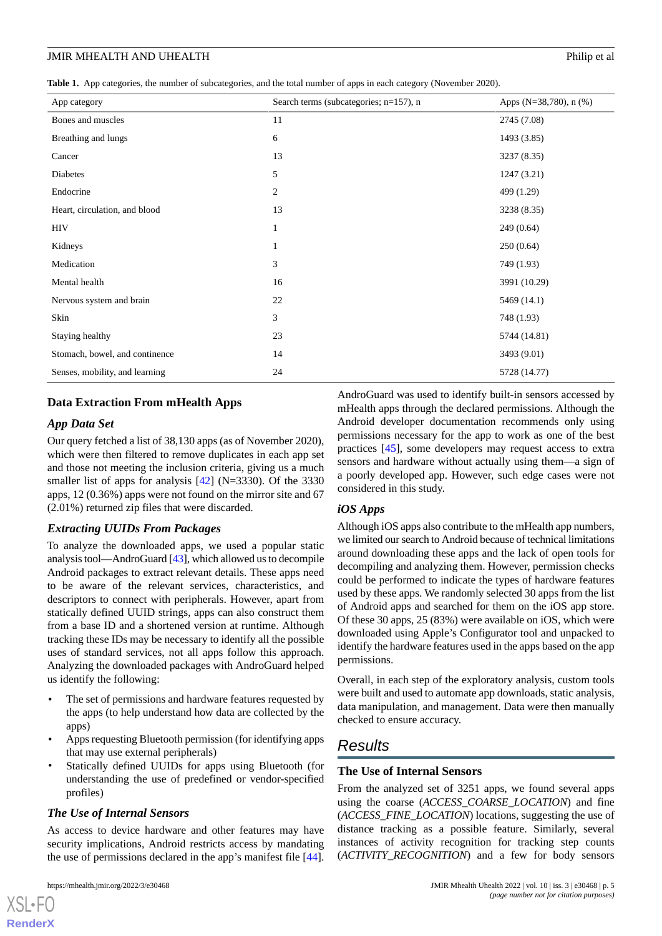<span id="page-4-0"></span>**Table 1.** App categories, the number of subcategories, and the total number of apps in each category (November 2020).

| App category                   | Search terms (subcategories; n=157), n | Apps (N=38,780), $n$ (%) |
|--------------------------------|----------------------------------------|--------------------------|
| Bones and muscles              | 11                                     | 2745 (7.08)              |
| Breathing and lungs            | 6                                      | 1493 (3.85)              |
| Cancer                         | 13                                     | 3237 (8.35)              |
| Diabetes                       | 5                                      | 1247(3.21)               |
| Endocrine                      | $\overline{c}$                         | 499 (1.29)               |
| Heart, circulation, and blood  | 13                                     | 3238 (8.35)              |
| <b>HIV</b>                     |                                        | 249 (0.64)               |
| Kidneys                        |                                        | 250(0.64)                |
| Medication                     | 3                                      | 749 (1.93)               |
| Mental health                  | 16                                     | 3991 (10.29)             |
| Nervous system and brain       | 22                                     | 5469 (14.1)              |
| Skin                           | 3                                      | 748 (1.93)               |
| Staying healthy                | 23                                     | 5744 (14.81)             |
| Stomach, bowel, and continence | 14                                     | 3493 (9.01)              |
| Senses, mobility, and learning | 24                                     | 5728 (14.77)             |

# **Data Extraction From mHealth Apps**

# *App Data Set*

Our query fetched a list of 38,130 apps (as of November 2020), which were then filtered to remove duplicates in each app set and those not meeting the inclusion criteria, giving us a much smaller list of apps for analysis [\[42](#page-11-11)] (N=3330). Of the 3330 apps, 12 (0.36%) apps were not found on the mirror site and 67 (2.01%) returned zip files that were discarded.

# *Extracting UUIDs From Packages*

To analyze the downloaded apps, we used a popular static analysis tool—AndroGuard [\[43](#page-11-12)], which allowed us to decompile Android packages to extract relevant details. These apps need to be aware of the relevant services, characteristics, and descriptors to connect with peripherals. However, apart from statically defined UUID strings, apps can also construct them from a base ID and a shortened version at runtime. Although tracking these IDs may be necessary to identify all the possible uses of standard services, not all apps follow this approach. Analyzing the downloaded packages with AndroGuard helped us identify the following:

- The set of permissions and hardware features requested by the apps (to help understand how data are collected by the apps)
- Apps requesting Bluetooth permission (for identifying apps that may use external peripherals)
- Statically defined UUIDs for apps using Bluetooth (for understanding the use of predefined or vendor-specified profiles)

# *The Use of Internal Sensors*

As access to device hardware and other features may have security implications, Android restricts access by mandating the use of permissions declared in the app's manifest file [[44\]](#page-11-13).

AndroGuard was used to identify built-in sensors accessed by mHealth apps through the declared permissions. Although the Android developer documentation recommends only using permissions necessary for the app to work as one of the best practices [\[45](#page-11-14)], some developers may request access to extra sensors and hardware without actually using them—a sign of a poorly developed app. However, such edge cases were not considered in this study.

# *iOS Apps*

Although iOS apps also contribute to the mHealth app numbers, we limited our search to Android because of technical limitations around downloading these apps and the lack of open tools for decompiling and analyzing them. However, permission checks could be performed to indicate the types of hardware features used by these apps. We randomly selected 30 apps from the list of Android apps and searched for them on the iOS app store. Of these 30 apps, 25 (83%) were available on iOS, which were downloaded using Apple's Configurator tool and unpacked to identify the hardware features used in the apps based on the app permissions.

Overall, in each step of the exploratory analysis, custom tools were built and used to automate app downloads, static analysis, data manipulation, and management. Data were then manually checked to ensure accuracy.

# *Results*

# **The Use of Internal Sensors**

From the analyzed set of 3251 apps, we found several apps using the coarse (*ACCESS\_COARSE\_LOCATION*) and fine (*ACCESS\_FINE\_LOCATION*) locations, suggesting the use of distance tracking as a possible feature. Similarly, several instances of activity recognition for tracking step counts (*ACTIVITY\_RECOGNITION*) and a few for body sensors

[XSL](http://www.w3.org/Style/XSL)•FO **[RenderX](http://www.renderx.com/)**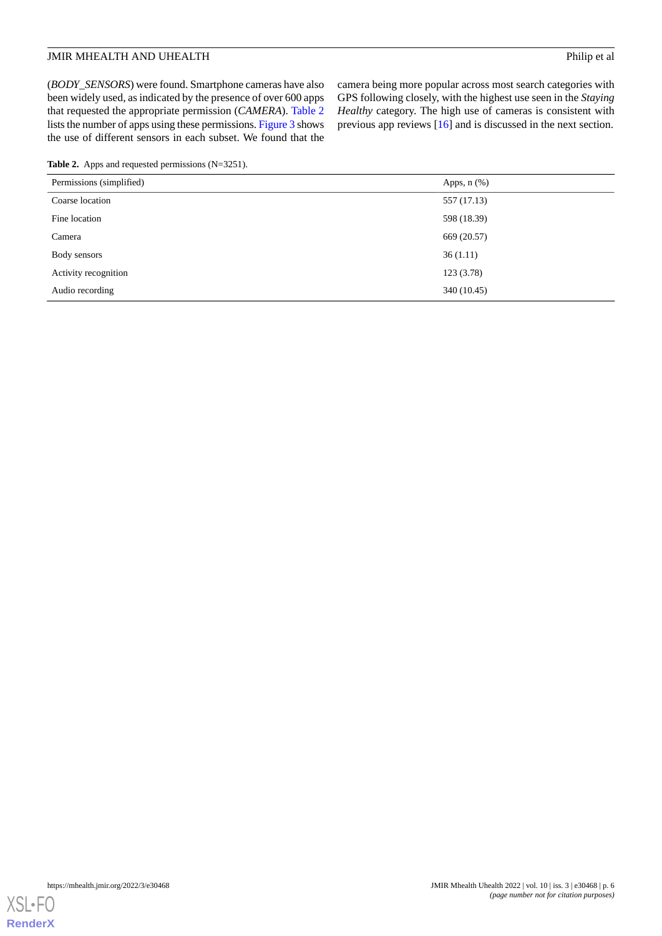# **JMIR MHEALTH AND UHEALTH Philip et al.**

(*BODY\_SENSORS*) were found. Smartphone cameras have also been widely used, as indicated by the presence of over 600 apps that requested the appropriate permission (*CAMERA*). [Table 2](#page-5-0) lists the number of apps using these permissions. [Figure 3](#page-6-0) shows the use of different sensors in each subset. We found that the

camera being more popular across most search categories with GPS following closely, with the highest use seen in the *Staying Healthy* category. The high use of cameras is consistent with previous app reviews [[16\]](#page-10-5) and is discussed in the next section.

<span id="page-5-0"></span>**Table 2.** Apps and requested permissions (N=3251).

| Permissions (simplified) | Apps, $n$ $(\%)$ |
|--------------------------|------------------|
| Coarse location          | 557 (17.13)      |
| Fine location            | 598 (18.39)      |
| Camera                   | 669 (20.57)      |
| Body sensors             | 36(1.11)         |
| Activity recognition     | 123(3.78)        |
| Audio recording          | 340 (10.45)      |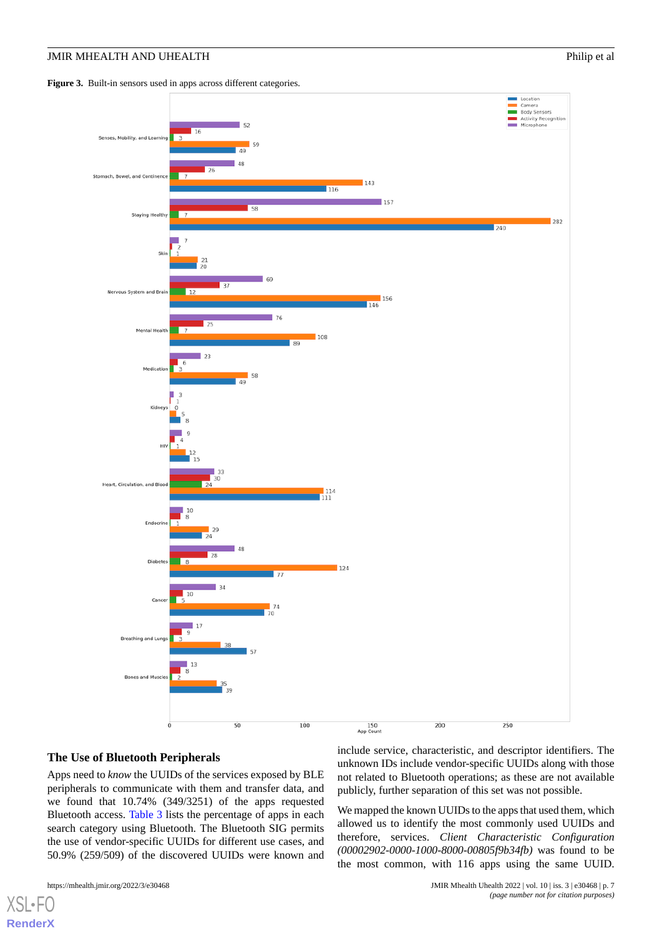# **JMIR MHEALTH AND UHEALTH Philip et al.**

<span id="page-6-0"></span>Figure 3. Built-in sensors used in apps across different categories.



# **The Use of Bluetooth Peripherals**

Apps need to *know* the UUIDs of the services exposed by BLE peripherals to communicate with them and transfer data, and we found that 10.74% (349/3251) of the apps requested Bluetooth access. [Table 3](#page-7-0) lists the percentage of apps in each search category using Bluetooth. The Bluetooth SIG permits the use of vendor-specific UUIDs for different use cases, and 50.9% (259/509) of the discovered UUIDs were known and

[XSL](http://www.w3.org/Style/XSL)•FO **[RenderX](http://www.renderx.com/)**

include service, characteristic, and descriptor identifiers. The unknown IDs include vendor-specific UUIDs along with those not related to Bluetooth operations; as these are not available publicly, further separation of this set was not possible.

We mapped the known UUIDs to the apps that used them, which allowed us to identify the most commonly used UUIDs and therefore, services. *Client Characteristic Configuration (00002902-0000-1000-8000-00805f9b34fb)* was found to be the most common, with 116 apps using the same UUID.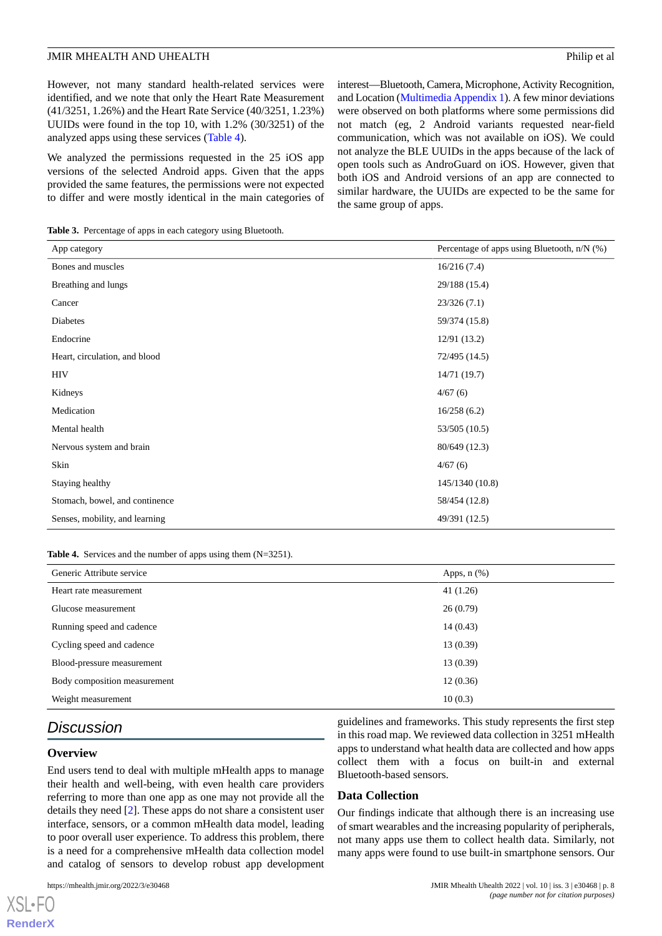However, not many standard health-related services were identified, and we note that only the Heart Rate Measurement (41/3251, 1.26%) and the Heart Rate Service (40/3251, 1.23%) UUIDs were found in the top 10, with 1.2% (30/3251) of the analyzed apps using these services ([Table 4](#page-7-1)).

We analyzed the permissions requested in the 25 iOS app versions of the selected Android apps. Given that the apps provided the same features, the permissions were not expected to differ and were mostly identical in the main categories of interest—Bluetooth, Camera, Microphone, Activity Recognition, and Location [\(Multimedia Appendix 1\)](#page-9-9). A few minor deviations were observed on both platforms where some permissions did not match (eg, 2 Android variants requested near-field communication, which was not available on iOS). We could not analyze the BLE UUIDs in the apps because of the lack of open tools such as AndroGuard on iOS. However, given that both iOS and Android versions of an app are connected to similar hardware, the UUIDs are expected to be the same for the same group of apps.

<span id="page-7-0"></span>**Table 3.** Percentage of apps in each category using Bluetooth.

| App category                   | Percentage of apps using Bluetooth, n/N (%) |
|--------------------------------|---------------------------------------------|
| Bones and muscles              | 16/216(7.4)                                 |
| Breathing and lungs            | 29/188 (15.4)                               |
| Cancer                         | 23/326(7.1)                                 |
| Diabetes                       | 59/374 (15.8)                               |
| Endocrine                      | 12/91(13.2)                                 |
| Heart, circulation, and blood  | 72/495 (14.5)                               |
| <b>HIV</b>                     | 14/71(19.7)                                 |
| Kidneys                        | 4/67(6)                                     |
| Medication                     | 16/258(6.2)                                 |
| Mental health                  | 53/505 (10.5)                               |
| Nervous system and brain       | 80/649 (12.3)                               |
| Skin                           | 4/67(6)                                     |
| Staying healthy                | 145/1340 (10.8)                             |
| Stomach, bowel, and continence | 58/454 (12.8)                               |
| Senses, mobility, and learning | 49/391 (12.5)                               |

#### <span id="page-7-1"></span>**Table 4.** Services and the number of apps using them (N=3251).

| Generic Attribute service    | Apps, $n$ $(\%)$ |
|------------------------------|------------------|
| Heart rate measurement       | 41(1.26)         |
| Glucose measurement          | 26(0.79)         |
| Running speed and cadence    | 14(0.43)         |
| Cycling speed and cadence    | 13 (0.39)        |
| Blood-pressure measurement   | 13 (0.39)        |
| Body composition measurement | 12(0.36)         |
| Weight measurement           | 10(0.3)          |

# *Discussion*

#### **Overview**

[XSL](http://www.w3.org/Style/XSL)•FO **[RenderX](http://www.renderx.com/)**

End users tend to deal with multiple mHealth apps to manage their health and well-being, with even health care providers referring to more than one app as one may not provide all the details they need [[2\]](#page-9-1). These apps do not share a consistent user interface, sensors, or a common mHealth data model, leading to poor overall user experience. To address this problem, there is a need for a comprehensive mHealth data collection model and catalog of sensors to develop robust app development

guidelines and frameworks. This study represents the first step in this road map. We reviewed data collection in 3251 mHealth apps to understand what health data are collected and how apps collect them with a focus on built-in and external Bluetooth-based sensors.

# **Data Collection**

Our findings indicate that although there is an increasing use of smart wearables and the increasing popularity of peripherals, not many apps use them to collect health data. Similarly, not many apps were found to use built-in smartphone sensors. Our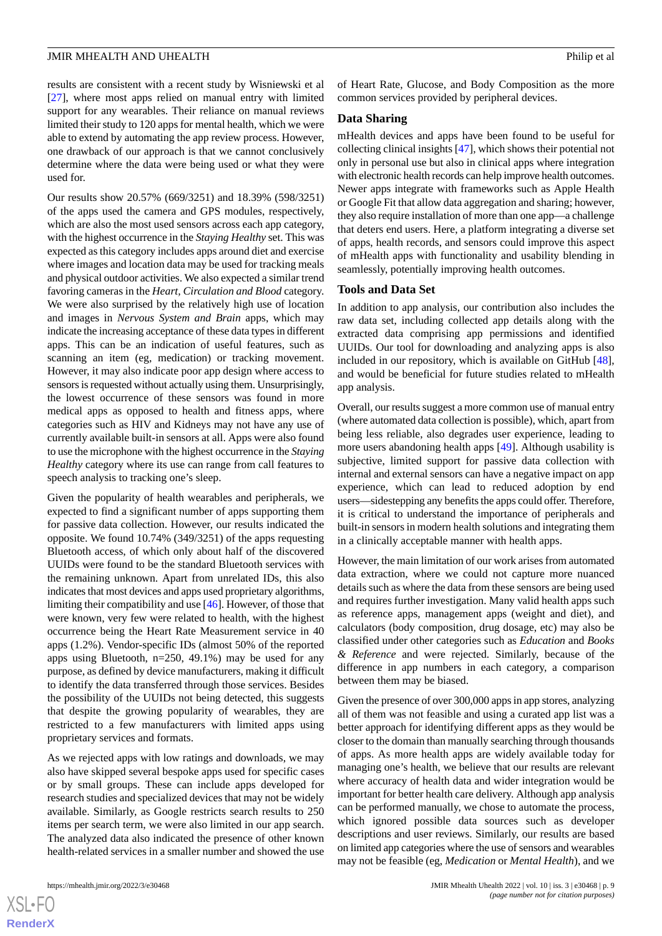results are consistent with a recent study by Wisniewski et al [[27\]](#page-10-16), where most apps relied on manual entry with limited support for any wearables. Their reliance on manual reviews limited their study to 120 apps for mental health, which we were able to extend by automating the app review process. However, one drawback of our approach is that we cannot conclusively determine where the data were being used or what they were used for.

Our results show 20.57% (669/3251) and 18.39% (598/3251) of the apps used the camera and GPS modules, respectively, which are also the most used sensors across each app category, with the highest occurrence in the *Staying Healthy* set. This was expected as this category includes apps around diet and exercise where images and location data may be used for tracking meals and physical outdoor activities. We also expected a similar trend favoring cameras in the *Heart, Circulation and Blood* category. We were also surprised by the relatively high use of location and images in *Nervous System and Brain* apps, which may indicate the increasing acceptance of these data types in different apps. This can be an indication of useful features, such as scanning an item (eg, medication) or tracking movement. However, it may also indicate poor app design where access to sensors is requested without actually using them. Unsurprisingly, the lowest occurrence of these sensors was found in more medical apps as opposed to health and fitness apps, where categories such as HIV and Kidneys may not have any use of currently available built-in sensors at all. Apps were also found to use the microphone with the highest occurrence in the *Staying Healthy* category where its use can range from call features to speech analysis to tracking one's sleep.

Given the popularity of health wearables and peripherals, we expected to find a significant number of apps supporting them for passive data collection. However, our results indicated the opposite. We found 10.74% (349/3251) of the apps requesting Bluetooth access, of which only about half of the discovered UUIDs were found to be the standard Bluetooth services with the remaining unknown. Apart from unrelated IDs, this also indicates that most devices and apps used proprietary algorithms, limiting their compatibility and use [\[46\]](#page-11-15). However, of those that were known, very few were related to health, with the highest occurrence being the Heart Rate Measurement service in 40 apps (1.2%). Vendor-specific IDs (almost 50% of the reported apps using Bluetooth, n=250, 49.1%) may be used for any purpose, as defined by device manufacturers, making it difficult to identify the data transferred through those services. Besides the possibility of the UUIDs not being detected, this suggests that despite the growing popularity of wearables, they are restricted to a few manufacturers with limited apps using proprietary services and formats.

As we rejected apps with low ratings and downloads, we may also have skipped several bespoke apps used for specific cases or by small groups. These can include apps developed for research studies and specialized devices that may not be widely available. Similarly, as Google restricts search results to 250 items per search term, we were also limited in our app search. The analyzed data also indicated the presence of other known health-related services in a smaller number and showed the use

of Heart Rate, Glucose, and Body Composition as the more common services provided by peripheral devices.

#### **Data Sharing**

mHealth devices and apps have been found to be useful for collecting clinical insights [\[47](#page-11-16)], which shows their potential not only in personal use but also in clinical apps where integration with electronic health records can help improve health outcomes. Newer apps integrate with frameworks such as Apple Health or Google Fit that allow data aggregation and sharing; however, they also require installation of more than one app—a challenge that deters end users. Here, a platform integrating a diverse set of apps, health records, and sensors could improve this aspect of mHealth apps with functionality and usability blending in seamlessly, potentially improving health outcomes.

#### **Tools and Data Set**

In addition to app analysis, our contribution also includes the raw data set, including collected app details along with the extracted data comprising app permissions and identified UUIDs. Our tool for downloading and analyzing apps is also included in our repository, which is available on GitHub [[48\]](#page-11-17), and would be beneficial for future studies related to mHealth app analysis.

Overall, our results suggest a more common use of manual entry (where automated data collection is possible), which, apart from being less reliable, also degrades user experience, leading to more users abandoning health apps [\[49](#page-11-18)]. Although usability is subjective, limited support for passive data collection with internal and external sensors can have a negative impact on app experience, which can lead to reduced adoption by end users—sidestepping any benefits the apps could offer. Therefore, it is critical to understand the importance of peripherals and built-in sensors in modern health solutions and integrating them in a clinically acceptable manner with health apps.

However, the main limitation of our work arises from automated data extraction, where we could not capture more nuanced details such as where the data from these sensors are being used and requires further investigation. Many valid health apps such as reference apps, management apps (weight and diet), and calculators (body composition, drug dosage, etc) may also be classified under other categories such as *Education* and *Books & Reference* and were rejected. Similarly, because of the difference in app numbers in each category, a comparison between them may be biased.

Given the presence of over 300,000 apps in app stores, analyzing all of them was not feasible and using a curated app list was a better approach for identifying different apps as they would be closer to the domain than manually searching through thousands of apps. As more health apps are widely available today for managing one's health, we believe that our results are relevant where accuracy of health data and wider integration would be important for better health care delivery. Although app analysis can be performed manually, we chose to automate the process, which ignored possible data sources such as developer descriptions and user reviews. Similarly, our results are based on limited app categories where the use of sensors and wearables may not be feasible (eg, *Medication* or *Mental Health*), and we

 $XS$ -FO **[RenderX](http://www.renderx.com/)**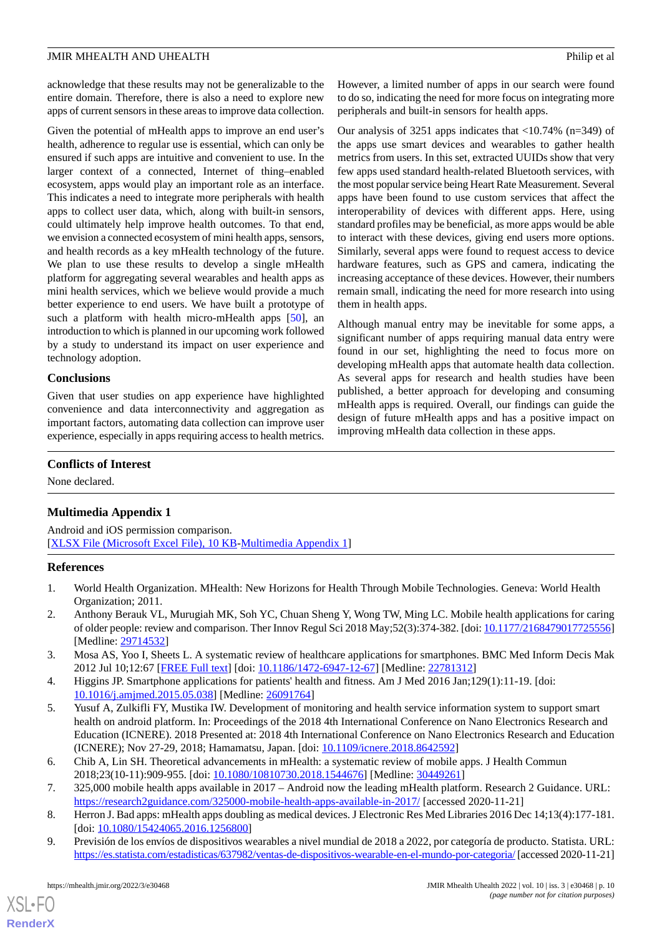acknowledge that these results may not be generalizable to the entire domain. Therefore, there is also a need to explore new apps of current sensors in these areas to improve data collection.

Given the potential of mHealth apps to improve an end user's health, adherence to regular use is essential, which can only be ensured if such apps are intuitive and convenient to use. In the larger context of a connected, Internet of thing–enabled ecosystem, apps would play an important role as an interface. This indicates a need to integrate more peripherals with health apps to collect user data, which, along with built-in sensors, could ultimately help improve health outcomes. To that end, we envision a connected ecosystem of mini health apps, sensors, and health records as a key mHealth technology of the future. We plan to use these results to develop a single mHealth platform for aggregating several wearables and health apps as mini health services, which we believe would provide a much better experience to end users. We have built a prototype of such a platform with health micro-mHealth apps [\[50](#page-11-19)], an introduction to which is planned in our upcoming work followed by a study to understand its impact on user experience and technology adoption.

# **Conclusions**

Given that user studies on app experience have highlighted convenience and data interconnectivity and aggregation as important factors, automating data collection can improve user experience, especially in apps requiring access to health metrics. However, a limited number of apps in our search were found to do so, indicating the need for more focus on integrating more peripherals and built-in sensors for health apps.

Our analysis of 3251 apps indicates that  $\langle 10.74\% \rangle$  (n=349) of the apps use smart devices and wearables to gather health metrics from users. In this set, extracted UUIDs show that very few apps used standard health-related Bluetooth services, with the most popular service being Heart Rate Measurement. Several apps have been found to use custom services that affect the interoperability of devices with different apps. Here, using standard profiles may be beneficial, as more apps would be able to interact with these devices, giving end users more options. Similarly, several apps were found to request access to device hardware features, such as GPS and camera, indicating the increasing acceptance of these devices. However, their numbers remain small, indicating the need for more research into using them in health apps.

Although manual entry may be inevitable for some apps, a significant number of apps requiring manual data entry were found in our set, highlighting the need to focus more on developing mHealth apps that automate health data collection. As several apps for research and health studies have been published, a better approach for developing and consuming mHealth apps is required. Overall, our findings can guide the design of future mHealth apps and has a positive impact on improving mHealth data collection in these apps.

# <span id="page-9-9"></span>**Conflicts of Interest**

None declared.

# **Multimedia Appendix 1**

<span id="page-9-0"></span>Android and iOS permission comparison. [[XLSX File \(Microsoft Excel File\), 10 KB](https://jmir.org/api/download?alt_name=mhealth_v10i3e30468_app1.xlsx&filename=0dfd9009bb73886f7f1aba1a058b6664.xlsx)-[Multimedia Appendix 1\]](https://jmir.org/api/download?alt_name=mhealth_v10i3e30468_app1.xlsx&filename=0dfd9009bb73886f7f1aba1a058b6664.xlsx)

# <span id="page-9-1"></span>**References**

- <span id="page-9-2"></span>1. World Health Organization. MHealth: New Horizons for Health Through Mobile Technologies. Geneva: World Health Organization; 2011.
- <span id="page-9-3"></span>2. Anthony Berauk VL, Murugiah MK, Soh YC, Chuan Sheng Y, Wong TW, Ming LC. Mobile health applications for caring of older people: review and comparison. Ther Innov Regul Sci 2018 May;52(3):374-382. [doi: [10.1177/2168479017725556\]](http://dx.doi.org/10.1177/2168479017725556) [Medline: [29714532](http://www.ncbi.nlm.nih.gov/entrez/query.fcgi?cmd=Retrieve&db=PubMed&list_uids=29714532&dopt=Abstract)]
- <span id="page-9-4"></span>3. Mosa AS, Yoo I, Sheets L. A systematic review of healthcare applications for smartphones. BMC Med Inform Decis Mak 2012 Jul 10;12:67 [[FREE Full text](https://bmcmedinformdecismak.biomedcentral.com/articles/10.1186/1472-6947-12-67)] [doi: [10.1186/1472-6947-12-67\]](http://dx.doi.org/10.1186/1472-6947-12-67) [Medline: [22781312](http://www.ncbi.nlm.nih.gov/entrez/query.fcgi?cmd=Retrieve&db=PubMed&list_uids=22781312&dopt=Abstract)]
- <span id="page-9-5"></span>4. Higgins JP. Smartphone applications for patients' health and fitness. Am J Med 2016 Jan;129(1):11-19. [doi: [10.1016/j.amjmed.2015.05.038\]](http://dx.doi.org/10.1016/j.amjmed.2015.05.038) [Medline: [26091764\]](http://www.ncbi.nlm.nih.gov/entrez/query.fcgi?cmd=Retrieve&db=PubMed&list_uids=26091764&dopt=Abstract)
- <span id="page-9-7"></span><span id="page-9-6"></span>5. Yusuf A, Zulkifli FY, Mustika IW. Development of monitoring and health service information system to support smart health on android platform. In: Proceedings of the 2018 4th International Conference on Nano Electronics Research and Education (ICNERE). 2018 Presented at: 2018 4th International Conference on Nano Electronics Research and Education (ICNERE); Nov 27-29, 2018; Hamamatsu, Japan. [doi: [10.1109/icnere.2018.8642592](http://dx.doi.org/10.1109/icnere.2018.8642592)]
- <span id="page-9-8"></span>6. Chib A, Lin SH. Theoretical advancements in mHealth: a systematic review of mobile apps. J Health Commun 2018;23(10-11):909-955. [doi: [10.1080/10810730.2018.1544676](http://dx.doi.org/10.1080/10810730.2018.1544676)] [Medline: [30449261\]](http://www.ncbi.nlm.nih.gov/entrez/query.fcgi?cmd=Retrieve&db=PubMed&list_uids=30449261&dopt=Abstract)
- 7. 325,000 mobile health apps available in 2017 Android now the leading mHealth platform. Research 2 Guidance. URL: <https://research2guidance.com/325000-mobile-health-apps-available-in-2017/> [accessed 2020-11-21]
- 8. Herron J. Bad apps: mHealth apps doubling as medical devices. J Electronic Res Med Libraries 2016 Dec 14;13(4):177-181. [doi: [10.1080/15424065.2016.1256800](http://dx.doi.org/10.1080/15424065.2016.1256800)]
- 9. Previsión de los envíos de dispositivos wearables a nivel mundial de 2018 a 2022, por categoría de producto. Statista. URL: <https://es.statista.com/estadisticas/637982/ventas-de-dispositivos-wearable-en-el-mundo-por-categoria/> [accessed 2020-11-21]

 $X$ SL•FO **[RenderX](http://www.renderx.com/)**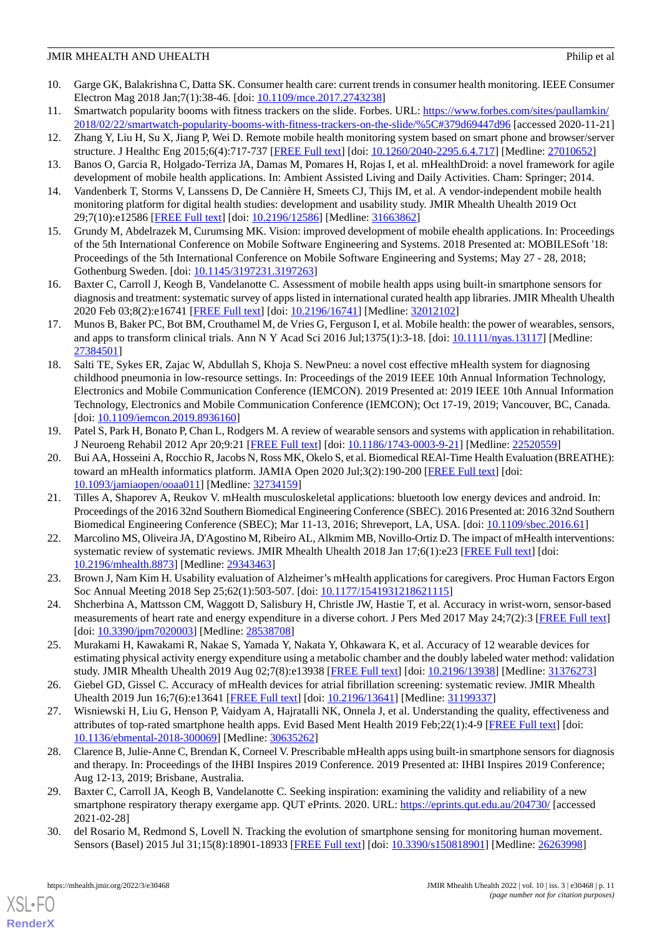- <span id="page-10-0"></span>10. Garge GK, Balakrishna C, Datta SK. Consumer health care: current trends in consumer health monitoring. IEEE Consumer Electron Mag 2018 Jan;7(1):38-46. [doi: [10.1109/mce.2017.2743238](http://dx.doi.org/10.1109/mce.2017.2743238)]
- <span id="page-10-1"></span>11. Smartwatch popularity booms with fitness trackers on the slide. Forbes. URL: [https://www.forbes.com/sites/paullamkin/](https://www.forbes.com/sites/paullamkin/2018/02/22/smartwatch-popularity-booms-with-fitness-trackers-on-the-slide/%5C#379d69447d96) [2018/02/22/smartwatch-popularity-booms-with-fitness-trackers-on-the-slide/%5C#379d69447d96](https://www.forbes.com/sites/paullamkin/2018/02/22/smartwatch-popularity-booms-with-fitness-trackers-on-the-slide/%5C#379d69447d96) [accessed 2020-11-21]
- <span id="page-10-2"></span>12. Zhang Y, Liu H, Su X, Jiang P, Wei D. Remote mobile health monitoring system based on smart phone and browser/server structure. J Healthc Eng 2015;6(4):717-737 [\[FREE Full text\]](https://doi.org/10.1260/2040-2295.6.4.717) [doi: [10.1260/2040-2295.6.4.717](http://dx.doi.org/10.1260/2040-2295.6.4.717)] [Medline: [27010652](http://www.ncbi.nlm.nih.gov/entrez/query.fcgi?cmd=Retrieve&db=PubMed&list_uids=27010652&dopt=Abstract)]
- <span id="page-10-3"></span>13. Banos O, Garcia R, Holgado-Terriza JA, Damas M, Pomares H, Rojas I, et al. mHealthDroid: a novel framework for agile development of mobile health applications. In: Ambient Assisted Living and Daily Activities. Cham: Springer; 2014.
- <span id="page-10-4"></span>14. Vandenberk T, Storms V, Lanssens D, De Cannière H, Smeets CJ, Thijs IM, et al. A vendor-independent mobile health monitoring platform for digital health studies: development and usability study. JMIR Mhealth Uhealth 2019 Oct 29;7(10):e12586 [\[FREE Full text](https://mhealth.jmir.org/2019/10/e12586/)] [doi: [10.2196/12586\]](http://dx.doi.org/10.2196/12586) [Medline: [31663862\]](http://www.ncbi.nlm.nih.gov/entrez/query.fcgi?cmd=Retrieve&db=PubMed&list_uids=31663862&dopt=Abstract)
- <span id="page-10-5"></span>15. Grundy M, Abdelrazek M, Curumsing MK. Vision: improved development of mobile ehealth applications. In: Proceedings of the 5th International Conference on Mobile Software Engineering and Systems. 2018 Presented at: MOBILESoft '18: Proceedings of the 5th International Conference on Mobile Software Engineering and Systems; May 27 - 28, 2018; Gothenburg Sweden. [doi: [10.1145/3197231.3197263](http://dx.doi.org/10.1145/3197231.3197263)]
- <span id="page-10-6"></span>16. Baxter C, Carroll J, Keogh B, Vandelanotte C. Assessment of mobile health apps using built-in smartphone sensors for diagnosis and treatment: systematic survey of apps listed in international curated health app libraries. JMIR Mhealth Uhealth 2020 Feb 03;8(2):e16741 [\[FREE Full text](https://mhealth.jmir.org/2020/2/e16741/)] [doi: [10.2196/16741\]](http://dx.doi.org/10.2196/16741) [Medline: [32012102\]](http://www.ncbi.nlm.nih.gov/entrez/query.fcgi?cmd=Retrieve&db=PubMed&list_uids=32012102&dopt=Abstract)
- <span id="page-10-7"></span>17. Munos B, Baker PC, Bot BM, Crouthamel M, de Vries G, Ferguson I, et al. Mobile health: the power of wearables, sensors, and apps to transform clinical trials. Ann N Y Acad Sci 2016 Jul;1375(1):3-18. [doi: [10.1111/nyas.13117](http://dx.doi.org/10.1111/nyas.13117)] [Medline: [27384501](http://www.ncbi.nlm.nih.gov/entrez/query.fcgi?cmd=Retrieve&db=PubMed&list_uids=27384501&dopt=Abstract)]
- <span id="page-10-8"></span>18. Salti TE, Sykes ER, Zajac W, Abdullah S, Khoja S. NewPneu: a novel cost effective mHealth system for diagnosing childhood pneumonia in low-resource settings. In: Proceedings of the 2019 IEEE 10th Annual Information Technology, Electronics and Mobile Communication Conference (IEMCON). 2019 Presented at: 2019 IEEE 10th Annual Information Technology, Electronics and Mobile Communication Conference (IEMCON); Oct 17-19, 2019; Vancouver, BC, Canada. [doi: [10.1109/iemcon.2019.8936160\]](http://dx.doi.org/10.1109/iemcon.2019.8936160)
- <span id="page-10-9"></span>19. Patel S, Park H, Bonato P, Chan L, Rodgers M. A review of wearable sensors and systems with application in rehabilitation. J Neuroeng Rehabil 2012 Apr 20;9:21 [\[FREE Full text\]](https://jneuroengrehab.biomedcentral.com/articles/10.1186/1743-0003-9-21) [doi: [10.1186/1743-0003-9-21](http://dx.doi.org/10.1186/1743-0003-9-21)] [Medline: [22520559](http://www.ncbi.nlm.nih.gov/entrez/query.fcgi?cmd=Retrieve&db=PubMed&list_uids=22520559&dopt=Abstract)]
- <span id="page-10-10"></span>20. Bui AA, Hosseini A, Rocchio R, Jacobs N, Ross MK, Okelo S, et al. Biomedical REAl-Time Health Evaluation (BREATHE): toward an mHealth informatics platform. JAMIA Open 2020 Jul;3(2):190-200 [[FREE Full text](http://europepmc.org/abstract/MED/32734159)] [doi: [10.1093/jamiaopen/ooaa011](http://dx.doi.org/10.1093/jamiaopen/ooaa011)] [Medline: [32734159\]](http://www.ncbi.nlm.nih.gov/entrez/query.fcgi?cmd=Retrieve&db=PubMed&list_uids=32734159&dopt=Abstract)
- <span id="page-10-11"></span>21. Tilles A, Shaporev A, Reukov V. mHealth musculoskeletal applications: bluetooth low energy devices and android. In: Proceedings of the 2016 32nd Southern Biomedical Engineering Conference (SBEC). 2016 Presented at: 2016 32nd Southern Biomedical Engineering Conference (SBEC); Mar 11-13, 2016; Shreveport, LA, USA. [doi: [10.1109/sbec.2016.61](http://dx.doi.org/10.1109/sbec.2016.61)]
- <span id="page-10-13"></span><span id="page-10-12"></span>22. Marcolino MS, Oliveira JA, D'Agostino M, Ribeiro AL, Alkmim MB, Novillo-Ortiz D. The impact of mHealth interventions: systematic review of systematic reviews. JMIR Mhealth Uhealth 2018 Jan 17;6(1):e23 [[FREE Full text](https://mhealth.jmir.org/2018/1/e23/)] [doi: [10.2196/mhealth.8873](http://dx.doi.org/10.2196/mhealth.8873)] [Medline: [29343463](http://www.ncbi.nlm.nih.gov/entrez/query.fcgi?cmd=Retrieve&db=PubMed&list_uids=29343463&dopt=Abstract)]
- <span id="page-10-14"></span>23. Brown J, Nam Kim H. Usability evaluation of Alzheimer's mHealth applications for caregivers. Proc Human Factors Ergon Soc Annual Meeting 2018 Sep 25;62(1):503-507. [doi: [10.1177/1541931218621115](http://dx.doi.org/10.1177/1541931218621115)]
- <span id="page-10-15"></span>24. Shcherbina A, Mattsson CM, Waggott D, Salisbury H, Christle JW, Hastie T, et al. Accuracy in wrist-worn, sensor-based measurements of heart rate and energy expenditure in a diverse cohort. J Pers Med 2017 May 24;7(2):3 [\[FREE Full text\]](https://www.mdpi.com/resolver?pii=jpm7020003) [doi: [10.3390/jpm7020003\]](http://dx.doi.org/10.3390/jpm7020003) [Medline: [28538708\]](http://www.ncbi.nlm.nih.gov/entrez/query.fcgi?cmd=Retrieve&db=PubMed&list_uids=28538708&dopt=Abstract)
- <span id="page-10-16"></span>25. Murakami H, Kawakami R, Nakae S, Yamada Y, Nakata Y, Ohkawara K, et al. Accuracy of 12 wearable devices for estimating physical activity energy expenditure using a metabolic chamber and the doubly labeled water method: validation study. JMIR Mhealth Uhealth 2019 Aug 02;7(8):e13938 [[FREE Full text\]](https://mhealth.jmir.org/2019/8/e13938/) [doi: [10.2196/13938](http://dx.doi.org/10.2196/13938)] [Medline: [31376273](http://www.ncbi.nlm.nih.gov/entrez/query.fcgi?cmd=Retrieve&db=PubMed&list_uids=31376273&dopt=Abstract)]
- <span id="page-10-17"></span>26. Giebel GD, Gissel C. Accuracy of mHealth devices for atrial fibrillation screening: systematic review. JMIR Mhealth Uhealth 2019 Jun 16;7(6):e13641 [\[FREE Full text\]](https://mhealth.jmir.org/2019/6/e13641/) [doi: [10.2196/13641\]](http://dx.doi.org/10.2196/13641) [Medline: [31199337\]](http://www.ncbi.nlm.nih.gov/entrez/query.fcgi?cmd=Retrieve&db=PubMed&list_uids=31199337&dopt=Abstract)
- <span id="page-10-18"></span>27. Wisniewski H, Liu G, Henson P, Vaidyam A, Hajratalli NK, Onnela J, et al. Understanding the quality, effectiveness and attributes of top-rated smartphone health apps. Evid Based Ment Health 2019 Feb; 22(1): 4-9 [[FREE Full text](http://europepmc.org/abstract/MED/30635262)] [doi: [10.1136/ebmental-2018-300069](http://dx.doi.org/10.1136/ebmental-2018-300069)] [Medline: [30635262\]](http://www.ncbi.nlm.nih.gov/entrez/query.fcgi?cmd=Retrieve&db=PubMed&list_uids=30635262&dopt=Abstract)
- <span id="page-10-19"></span>28. Clarence B, Julie-Anne C, Brendan K, Corneel V. Prescribable mHealth apps using built-in smartphone sensors for diagnosis and therapy. In: Proceedings of the IHBI Inspires 2019 Conference. 2019 Presented at: IHBI Inspires 2019 Conference; Aug 12-13, 2019; Brisbane, Australia.
- 29. Baxter C, Carroll JA, Keogh B, Vandelanotte C. Seeking inspiration: examining the validity and reliability of a new smartphone respiratory therapy exergame app. QUT ePrints. 2020. URL:<https://eprints.qut.edu.au/204730/> [accessed 2021-02-28]
- 30. del Rosario M, Redmond S, Lovell N. Tracking the evolution of smartphone sensing for monitoring human movement. Sensors (Basel) 2015 Jul 31;15(8):18901-18933 [[FREE Full text\]](https://www.mdpi.com/resolver?pii=s150818901) [doi: [10.3390/s150818901](http://dx.doi.org/10.3390/s150818901)] [Medline: [26263998](http://www.ncbi.nlm.nih.gov/entrez/query.fcgi?cmd=Retrieve&db=PubMed&list_uids=26263998&dopt=Abstract)]

[XSL](http://www.w3.org/Style/XSL)•FO **[RenderX](http://www.renderx.com/)**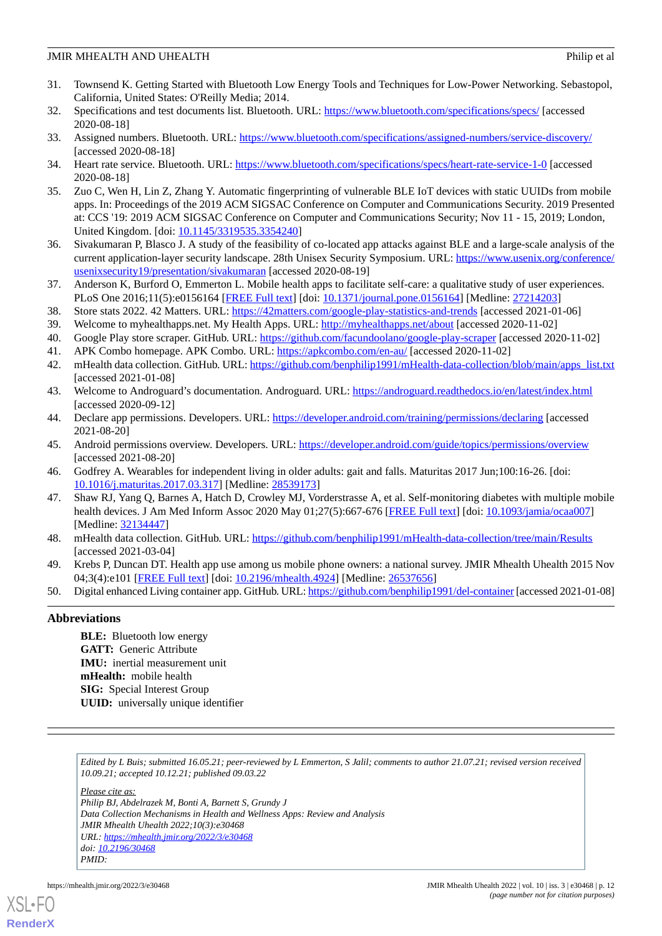- <span id="page-11-0"></span>31. Townsend K. Getting Started with Bluetooth Low Energy Tools and Techniques for Low-Power Networking. Sebastopol, California, United States: O'Reilly Media; 2014.
- <span id="page-11-2"></span><span id="page-11-1"></span>32. Specifications and test documents list. Bluetooth. URL: <https://www.bluetooth.com/specifications/specs/> [accessed 2020-08-18]
- <span id="page-11-3"></span>33. Assigned numbers. Bluetooth. URL:<https://www.bluetooth.com/specifications/assigned-numbers/service-discovery/> [accessed 2020-08-18]
- <span id="page-11-4"></span>34. Heart rate service. Bluetooth. URL: <https://www.bluetooth.com/specifications/specs/heart-rate-service-1-0> [accessed 2020-08-18]
- 35. Zuo C, Wen H, Lin Z, Zhang Y. Automatic fingerprinting of vulnerable BLE IoT devices with static UUIDs from mobile apps. In: Proceedings of the 2019 ACM SIGSAC Conference on Computer and Communications Security. 2019 Presented at: CCS '19: 2019 ACM SIGSAC Conference on Computer and Communications Security; Nov 11 - 15, 2019; London, United Kingdom. [doi: [10.1145/3319535.3354240](http://dx.doi.org/10.1145/3319535.3354240)]
- <span id="page-11-6"></span><span id="page-11-5"></span>36. Sivakumaran P, Blasco J. A study of the feasibility of co-located app attacks against BLE and a large-scale analysis of the current application-layer security landscape. 28th Unisex Security Symposium. URL: [https://www.usenix.org/conference/](https://www.usenix.org/conference/usenixsecurity19/presentation/sivakumaran) [usenixsecurity19/presentation/sivakumaran](https://www.usenix.org/conference/usenixsecurity19/presentation/sivakumaran) [accessed 2020-08-19]
- <span id="page-11-8"></span><span id="page-11-7"></span>37. Anderson K, Burford O, Emmerton L. Mobile health apps to facilitate self-care: a qualitative study of user experiences. PLoS One 2016;11(5):e0156164 [[FREE Full text](https://dx.plos.org/10.1371/journal.pone.0156164)] [doi: [10.1371/journal.pone.0156164\]](http://dx.doi.org/10.1371/journal.pone.0156164) [Medline: [27214203](http://www.ncbi.nlm.nih.gov/entrez/query.fcgi?cmd=Retrieve&db=PubMed&list_uids=27214203&dopt=Abstract)]
- <span id="page-11-10"></span><span id="page-11-9"></span>38. Store stats 2022. 42 Matters. URL: <https://42matters.com/google-play-statistics-and-trends> [accessed 2021-01-06]
- <span id="page-11-11"></span>39. Welcome to myhealthapps.net. My Health Apps. URL:<http://myhealthapps.net/about> [accessed 2020-11-02]
- 40. Google Play store scraper. GitHub. URL: <https://github.com/facundoolano/google-play-scraper> [accessed 2020-11-02]
- <span id="page-11-12"></span>41. APK Combo homepage. APK Combo. URL:<https://apkcombo.com/en-au/> [accessed 2020-11-02]
- <span id="page-11-13"></span>42. mHealth data collection. GitHub. URL: [https://github.com/benphilip1991/mHealth-data-collection/blob/main/apps\\_list.txt](https://github.com/benphilip1991/mHealth-data-collection/blob/main/apps_list.txt) [accessed 2021-01-08]
- <span id="page-11-14"></span>43. Welcome to Androguard's documentation. Androguard. URL:<https://androguard.readthedocs.io/en/latest/index.html> [accessed 2020-09-12]
- <span id="page-11-15"></span>44. Declare app permissions. Developers. URL:<https://developer.android.com/training/permissions/declaring> [accessed 2021-08-20]
- <span id="page-11-16"></span>45. Android permissions overview. Developers. URL:<https://developer.android.com/guide/topics/permissions/overview> [accessed 2021-08-20]
- 46. Godfrey A. Wearables for independent living in older adults: gait and falls. Maturitas 2017 Jun;100:16-26. [doi: [10.1016/j.maturitas.2017.03.317\]](http://dx.doi.org/10.1016/j.maturitas.2017.03.317) [Medline: [28539173\]](http://www.ncbi.nlm.nih.gov/entrez/query.fcgi?cmd=Retrieve&db=PubMed&list_uids=28539173&dopt=Abstract)
- <span id="page-11-18"></span><span id="page-11-17"></span>47. Shaw RJ, Yang Q, Barnes A, Hatch D, Crowley MJ, Vorderstrasse A, et al. Self-monitoring diabetes with multiple mobile health devices. J Am Med Inform Assoc 2020 May 01;27(5):667-676 [[FREE Full text](http://europepmc.org/abstract/MED/32134447)] [doi: [10.1093/jamia/ocaa007](http://dx.doi.org/10.1093/jamia/ocaa007)] [Medline: [32134447](http://www.ncbi.nlm.nih.gov/entrez/query.fcgi?cmd=Retrieve&db=PubMed&list_uids=32134447&dopt=Abstract)]
- <span id="page-11-19"></span>48. mHealth data collection. GitHub. URL: <https://github.com/benphilip1991/mHealth-data-collection/tree/main/Results> [accessed 2021-03-04]
- 49. Krebs P, Duncan DT. Health app use among us mobile phone owners: a national survey. JMIR Mhealth Uhealth 2015 Nov 04;3(4):e101 [\[FREE Full text](https://mhealth.jmir.org/2015/4/e101/)] [doi: [10.2196/mhealth.4924\]](http://dx.doi.org/10.2196/mhealth.4924) [Medline: [26537656](http://www.ncbi.nlm.nih.gov/entrez/query.fcgi?cmd=Retrieve&db=PubMed&list_uids=26537656&dopt=Abstract)]
- 50. Digital enhanced Living container app. GitHub. URL:<https://github.com/benphilip1991/del-container> [accessed 2021-01-08]

# **Abbreviations**

**BLE:** Bluetooth low energy **GATT:** Generic Attribute **IMU:** inertial measurement unit **mHealth:** mobile health **SIG:** Special Interest Group **UUID:** universally unique identifier

*Edited by L Buis; submitted 16.05.21; peer-reviewed by L Emmerton, S Jalil; comments to author 21.07.21; revised version received 10.09.21; accepted 10.12.21; published 09.03.22*

*Please cite as:*

*Philip BJ, Abdelrazek M, Bonti A, Barnett S, Grundy J Data Collection Mechanisms in Health and Wellness Apps: Review and Analysis JMIR Mhealth Uhealth 2022;10(3):e30468 URL: <https://mhealth.jmir.org/2022/3/e30468> doi: [10.2196/30468](http://dx.doi.org/10.2196/30468) PMID:*



**[RenderX](http://www.renderx.com/)**